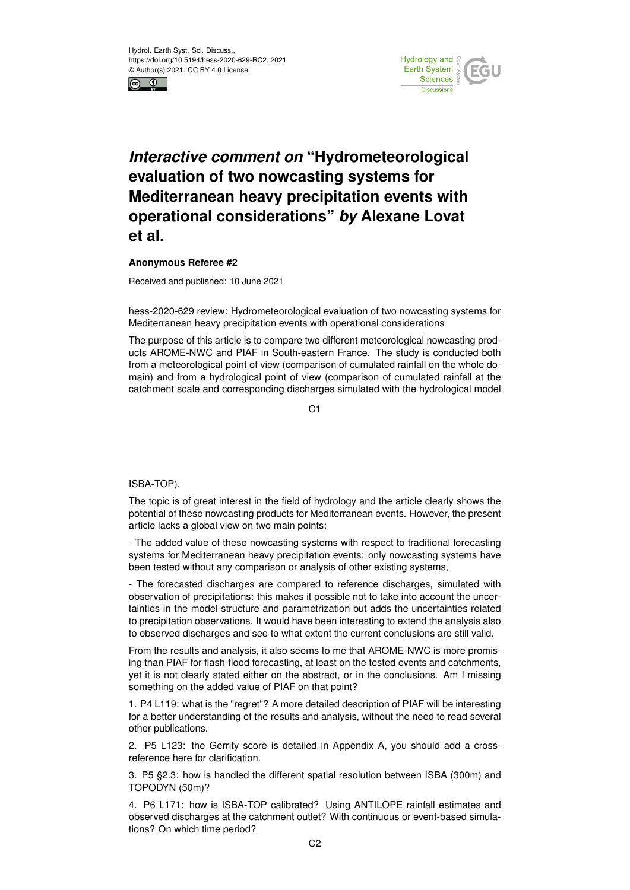



## *Interactive comment on* **"Hydrometeorological evaluation of two nowcasting systems for Mediterranean heavy precipitation events with operational considerations"** *by* **Alexane Lovat et al.**

## **Anonymous Referee #2**

Received and published: 10 June 2021

hess-2020-629 review: Hydrometeorological evaluation of two nowcasting systems for Mediterranean heavy precipitation events with operational considerations

The purpose of this article is to compare two different meteorological nowcasting products AROME-NWC and PIAF in South-eastern France. The study is conducted both from a meteorological point of view (comparison of cumulated rainfall on the whole domain) and from a hydrological point of view (comparison of cumulated rainfall at the catchment scale and corresponding discharges simulated with the hydrological model

 $C<sub>1</sub>$ 

## ISBA-TOP).

The topic is of great interest in the field of hydrology and the article clearly shows the potential of these nowcasting products for Mediterranean events. However, the present article lacks a global view on two main points:

- The added value of these nowcasting systems with respect to traditional forecasting systems for Mediterranean heavy precipitation events: only nowcasting systems have been tested without any comparison or analysis of other existing systems,

- The forecasted discharges are compared to reference discharges, simulated with observation of precipitations: this makes it possible not to take into account the uncertainties in the model structure and parametrization but adds the uncertainties related to precipitation observations. It would have been interesting to extend the analysis also to observed discharges and see to what extent the current conclusions are still valid.

From the results and analysis, it also seems to me that AROME-NWC is more promising than PIAF for flash-flood forecasting, at least on the tested events and catchments, yet it is not clearly stated either on the abstract, or in the conclusions. Am I missing something on the added value of PIAF on that point?

1. P4 L119: what is the "regret"? A more detailed description of PIAF will be interesting for a better understanding of the results and analysis, without the need to read several other publications.

2. P5 L123: the Gerrity score is detailed in Appendix A, you should add a crossreference here for clarification.

3. P5 §2.3: how is handled the different spatial resolution between ISBA (300m) and TOPODYN (50m)?

4. P6 L171: how is ISBA-TOP calibrated? Using ANTILOPE rainfall estimates and observed discharges at the catchment outlet? With continuous or event-based simulations? On which time period?